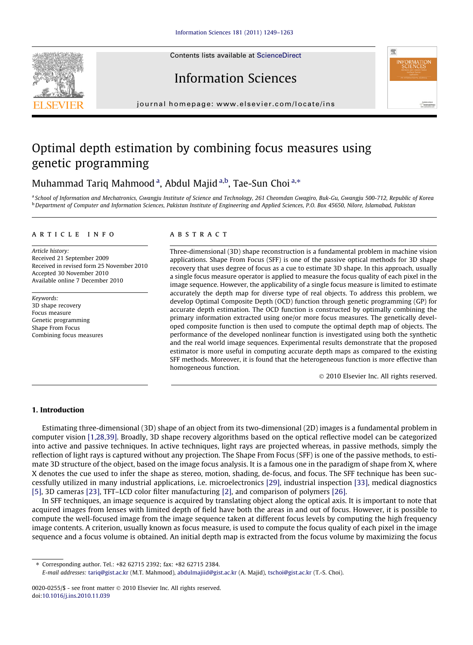Contents lists available at [ScienceDirect](http://www.sciencedirect.com/science/journal/00200255)





## Information Sciences

journal homepage: [www.elsevier.com/locate/ins](http://www.elsevier.com/locate/ins)

# Optimal depth estimation by combining focus measures using genetic programming

### Muhammad Tariq Mahmood <sup>a</sup>, Abdul Majid <sup>a,b</sup>, Tae-Sun Choi <sup>a,</sup>\*

<sup>a</sup> School of Information and Mechatronics, Gwangju Institute of Science and Technology, 261 Cheomdan Gwagiro, Buk-Gu, Gwangju 500-712, Republic of Korea **b** Department of Computer and Information Sciences, Pakistan Institute of Engineering and Applied Sciences, P.O. Box 45650, Nilore, Islamabad, Pakistan

#### article info

Article history: Received 21 September 2009 Received in revised form 25 November 2010 Accepted 30 November 2010 Available online 7 December 2010

Keywords: 3D shape recovery Focus measure Genetic programming Shape From Focus Combining focus measures

#### **ABSTRACT**

Three-dimensional (3D) shape reconstruction is a fundamental problem in machine vision applications. Shape From Focus (SFF) is one of the passive optical methods for 3D shape recovery that uses degree of focus as a cue to estimate 3D shape. In this approach, usually a single focus measure operator is applied to measure the focus quality of each pixel in the image sequence. However, the applicability of a single focus measure is limited to estimate accurately the depth map for diverse type of real objects. To address this problem, we develop Optimal Composite Depth (OCD) function through genetic programming (GP) for accurate depth estimation. The OCD function is constructed by optimally combining the primary information extracted using one/or more focus measures. The genetically developed composite function is then used to compute the optimal depth map of objects. The performance of the developed nonlinear function is investigated using both the synthetic and the real world image sequences. Experimental results demonstrate that the proposed estimator is more useful in computing accurate depth maps as compared to the existing SFF methods. Moreover, it is found that the heterogeneous function is more effective than homogeneous function.

- 2010 Elsevier Inc. All rights reserved.

#### 1. Introduction

Estimating three-dimensional (3D) shape of an object from its two-dimensional (2D) images is a fundamental problem in computer vision [\[1,28,39\].](#page--1-0) Broadly, 3D shape recovery algorithms based on the optical reflective model can be categorized into active and passive techniques. In active techniques, light rays are projected whereas, in passive methods, simply the reflection of light rays is captured without any projection. The Shape From Focus (SFF) is one of the passive methods, to estimate 3D structure of the object, based on the image focus analysis. It is a famous one in the paradigm of shape from X, where X denotes the cue used to infer the shape as stereo, motion, shading, de-focus, and focus. The SFF technique has been successfully utilized in many industrial applications, i.e. microelectronics [\[29\]](#page--1-0), industrial inspection [\[33\]](#page--1-0), medical diagnostics [\[5\],](#page--1-0) 3D cameras [\[23\],](#page--1-0) TFT–LCD color filter manufacturing [\[2\]](#page--1-0), and comparison of polymers [\[26\].](#page--1-0)

In SFF techniques, an image sequence is acquired by translating object along the optical axis. It is important to note that acquired images from lenses with limited depth of field have both the areas in and out of focus. However, it is possible to compute the well-focused image from the image sequence taken at different focus levels by computing the high frequency image contents. A criterion, usually known as focus measure, is used to compute the focus quality of each pixel in the image sequence and a focus volume is obtained. An initial depth map is extracted from the focus volume by maximizing the focus

⇑ Corresponding author. Tel.: +82 62715 2392; fax: +82 62715 2384.

E-mail addresses: [tariq@gist.ac.kr](mailto:tariq@gist.ac.kr) (M.T. Mahmood), [abdulmajiid@gist.ac.kr](mailto:abdulmajiid@gist.ac.kr) (A. Majid), [tschoi@gist.ac.kr](mailto:tschoi@gist.ac.kr) (T.-S. Choi).

<sup>0020-0255/\$ -</sup> see front matter © 2010 Elsevier Inc. All rights reserved. doi:[10.1016/j.ins.2010.11.039](http://dx.doi.org/10.1016/j.ins.2010.11.039)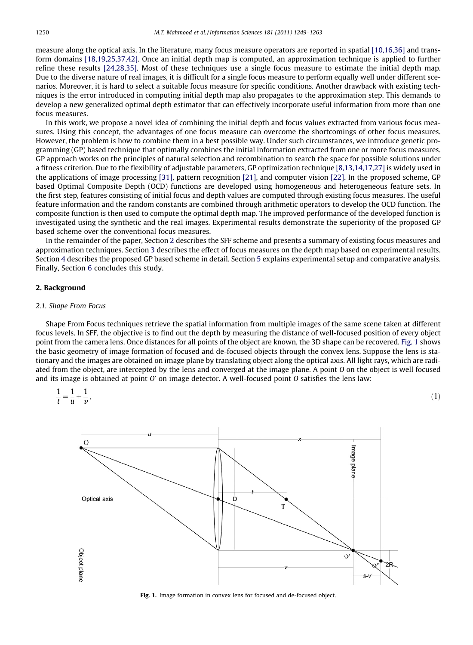measure along the optical axis. In the literature, many focus measure operators are reported in spatial [\[10,16,36\]](#page--1-0) and transform domains [\[18,19,25,37,42\].](#page--1-0) Once an initial depth map is computed, an approximation technique is applied to further refine these results [\[24,28,35\].](#page--1-0) Most of these techniques use a single focus measure to estimate the initial depth map. Due to the diverse nature of real images, it is difficult for a single focus measure to perform equally well under different scenarios. Moreover, it is hard to select a suitable focus measure for specific conditions. Another drawback with existing techniques is the error introduced in computing initial depth map also propagates to the approximation step. This demands to develop a new generalized optimal depth estimator that can effectively incorporate useful information from more than one focus measures.

In this work, we propose a novel idea of combining the initial depth and focus values extracted from various focus measures. Using this concept, the advantages of one focus measure can overcome the shortcomings of other focus measures. However, the problem is how to combine them in a best possible way. Under such circumstances, we introduce genetic programming (GP) based technique that optimally combines the initial information extracted from one or more focus measures. GP approach works on the principles of natural selection and recombination to search the space for possible solutions under a fitness criterion. Due to the flexibility of adjustable parameters, GP optimization technique [\[8,13,14,17,27\]](#page--1-0) is widely used in the applications of image processing [\[31\],](#page--1-0) pattern recognition [\[21\],](#page--1-0) and computer vision [\[22\]](#page--1-0). In the proposed scheme, GP based Optimal Composite Depth (OCD) functions are developed using homogeneous and heterogeneous feature sets. In the first step, features consisting of initial focus and depth values are computed through existing focus measures. The useful feature information and the random constants are combined through arithmetic operators to develop the OCD function. The composite function is then used to compute the optimal depth map. The improved performance of the developed function is investigated using the synthetic and the real images. Experimental results demonstrate the superiority of the proposed GP based scheme over the conventional focus measures.

In the remainder of the paper, Section 2 describes the SFF scheme and presents a summary of existing focus measures and approximation techniques. Section 3 describes the effect of focus measures on the depth map based on experimental results. Section 4 describes the proposed GP based scheme in detail. Section 5 explains experimental setup and comparative analysis. Finally, Section 6 concludes this study.

#### 2. Background

#### 2.1. Shape From Focus

Shape From Focus techniques retrieve the spatial information from multiple images of the same scene taken at different focus levels. In SFF, the objective is to find out the depth by measuring the distance of well-focused position of every object point from the camera lens. Once distances for all points of the object are known, the 3D shape can be recovered. Fig. 1 shows the basic geometry of image formation of focused and de-focused objects through the convex lens. Suppose the lens is stationary and the images are obtained on image plane by translating object along the optical axis. All light rays, which are radiated from the object, are intercepted by the lens and converged at the image plane. A point O on the object is well focused and its image is obtained at point  $O'$  on image detector. A well-focused point  $O$  satisfies the lens law:





Fig. 1. Image formation in convex lens for focused and de-focused object.